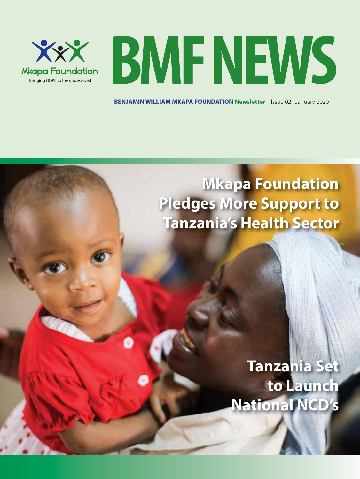

**BMFNEWS**

**BENJAMIN WILLIAM MKAPA FOUNDATION Newsletter** | Issue 02 | January 2020

### **Mkapa Foundation Pledges More Support to Tanzania's Health Sector**

### **Tanzania Set to Launch National NCD's**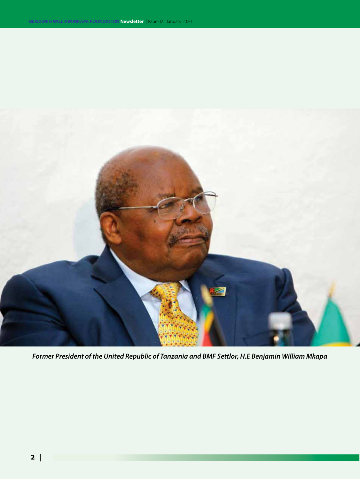

*Former President of the United Republic of Tanzania and BMF Settlor, H.E Benjamin William Mkapa*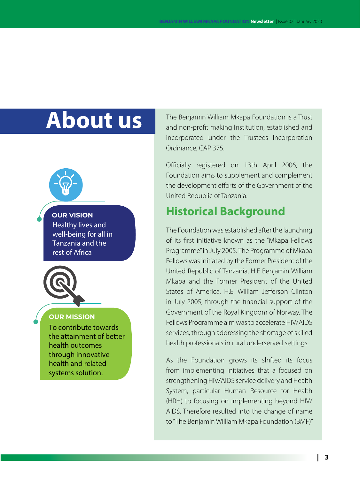### **About us**

#### **OUR VISION**

Healthy lives and well-being for all in Tanzania and the rest of Africa



#### **OUR MISSION**

To contribute towards the attainment of better health outcomes through innovative health and related systems solution.

The Benjamin William Mkapa Foundation is a Trust and non-profit making Institution, established and incorporated under the Trustees Incorporation Ordinance, CAP 375.

Officially registered on 13th April 2006, the Foundation aims to supplement and complement the development efforts of the Government of the United Republic of Tanzania.

#### **Historical Background**

The Foundation was established after the launching of its first initiative known as the "Mkapa Fellows Programme" in July 2005. The Programme of Mkapa Fellows was initiated by the Former President of the United Republic of Tanzania, H.E Benjamin William Mkapa and the Former President of the United States of America, H.E. William Jefferson Clinton in July 2005, through the financial support of the Government of the Royal Kingdom of Norway. The Fellows Programme aim was to accelerate HIV/AIDS services, through addressing the shortage of skilled health professionals in rural underserved settings.

As the Foundation grows its shifted its focus from implementing initiatives that a focused on strengthening HIV/AIDS service delivery and Health System, particular Human Resource for Health (HRH) to focusing on implementing beyond HIV/ AIDS. Therefore resulted into the change of name to "The Benjamin William Mkapa Foundation (BMF)"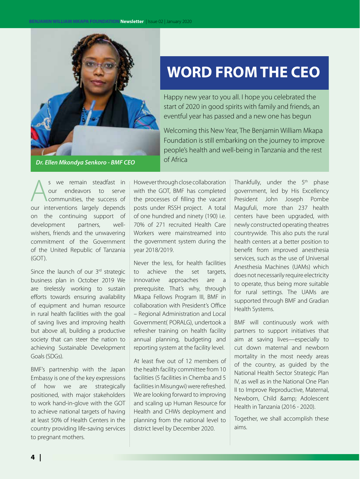

#### **WORD FROM THE CEO**

Happy new year to you all. I hope you celebrated the start of 2020 in good spirits with family and friends, an eventful year has passed and a new one has begun

Welcoming this New Year, The Benjamin William Mkapa Foundation is still embarking on the journey to improve people's health and well-being in Tanzania and the rest of Africa

s we remain steadfast in<br>
our endeavors to serve<br>
communities, the success of<br>
our interventions largely depends our endeavors to serve communities, the success of our interventions largely depends on the continuing support of development partners, wellwishers, friends and the unwavering commitment of the Government of the United Republic of Tanzania (GOT).

Since the launch of our 3rd strategic business plan in October 2019 We are tirelessly working to sustain efforts towards ensuring availability of equipment and human resource in rural health facilities with the goal of saving lives and improving health but above all, building a productive society that can steer the nation to achieving Sustainable Development Goals (SDGs).

BMF's partnership with the Japan Embassy is one of the key expressions of how we are strategically positioned, with major stakeholders to work hand-in-glove with the GOT to achieve national targets of having at least 50% of Health Centers in the country providing life-saving services to pregnant mothers.

However through close collaboration with the GOT, BMF has completed the processes of filling the vacant posts under RSSH project. A total of one hundred and ninety (190) i.e. 70% of 271 recruited Health Care Workers were mainstreamed into the government system during the year 2018/2019.

Never the less, for health facilities to achieve the set targets, innovative approaches are a prerequisite. That's why, through Mkapa Fellows Program III, BMF in collaboration with President's Office – Regional Administration and Local Government( PORALG), undertook a refresher training on health facility annual planning, budgeting and reporting system at the facility level.

At least five out of 12 members of the health facility committee from 10 facilities (5 facilities in Chemba and 5 facilities in Misungwi) were refreshed. We are looking forward to improving and scaling up Human Resource for Health and CHWs deployment and planning from the national level to district level by December 2020.

Thankfully, under the  $5<sup>th</sup>$  phase government, led by His Excellency President John Joseph Pombe Magufuli, more than 237 health centers have been upgraded, with newly constructed operating theatres countrywide. This also puts the rural health centers at a better position to benefit from improved anesthesia services, such as the use of Universal Anesthesia Machines (UAMs) which does not necessarily require electricity to operate, thus being more suitable for rural settings. The UAMs are supported through BMF and Gradian Health Systems.

BMF will continuously work with partners to support initiatives that aim at saving lives—especially to cut down maternal and newborn mortality in the most needy areas of the country, as guided by the National Health Sector Strategic Plan IV, as well as in the National One Plan II to Improve Reproductive, Maternal, Newborn, Child & amp; Adolescent Health in Tanzania (2016 - 2020).

Together, we shall accomplish these aims.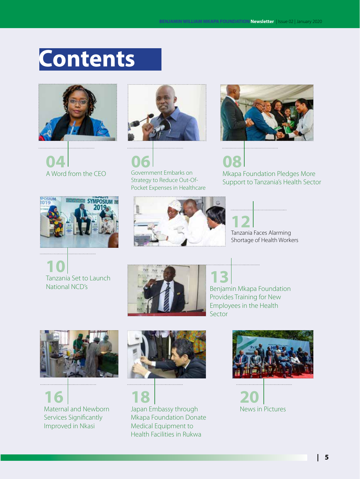## **Contents**







**06** Government Embarks on Strategy to Reduce Out-Of-Pocket Expenses in Healthcare



**08** Mkapa Foundation Pledges More Support to Tanzania's Health Sector



. . . . . . . . . . . . . . . . . . .

**10** Tanzania Set to Launch National NCD's





Tanzania Faces Alarming Shortage of Health Workers



**13** Benjamin Mkapa Foundation Provides Training for New Employees in the Health Sector

. . . . . . . . . . . . . . .



. . . . . . . . . . . . . . . . . . . .

**16** Maternal and Newborn Services Significantly Improved in Nkasi



**18** Japan Embassy through Mkapa Foundation Donate Medical Equipment to Health Facilities in Rukwa



. . . . . . . . . . . . . . . . . . .

**20** News in Pictures

. . . . . . . . . . . . . . . . . . .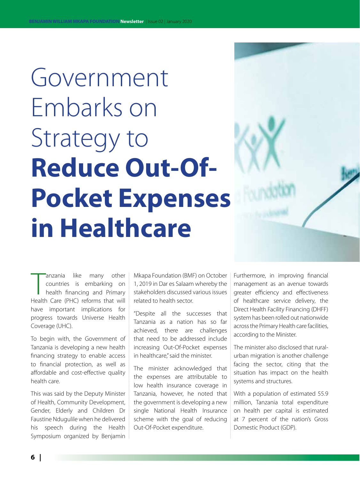Government Embarks on Strategy to **Reduce Out-Of-Pocket Expenses in Healthcare**

anzania like many other<br>
countries is embarking on<br>
health financing and Primary<br>
Health Care (PHC) reforms that will anzania like many other countries is embarking on health financing and Primary have important implications for progress towards Universe Health Coverage (UHC).

To begin with, the Government of Tanzania is developing a new health financing strategy to enable access to financial protection, as well as affordable and cost-effective quality health care.

This was said by the Deputy Minister of Health, Community Development, Gender, Elderly and Children Dr Faustine Ndugulile when he delivered his speech during the Health Symposium organized by Benjamin

Mkapa Foundation (BMF) on October 1, 2019 in Dar es Salaam whereby the stakeholders discussed various issues related to health sector.

"Despite all the successes that Tanzania as a nation has so far achieved, there are challenges that need to be addressed include increasing Out-Of-Pocket expenses in healthcare," said the minister.

The minister acknowledged that the expenses are attributable to low health insurance coverage in Tanzania, however, he noted that the government is developing a new single National Health Insurance scheme with the goal of reducing Out-Of-Pocket expenditure.

Furthermore, in improving financial management as an avenue towards greater efficiency and effectiveness of healthcare service delivery, the Direct Health Facility Financing (DHFF) system has been rolled out nationwide across the Primary Health care facilities, according to the Minister.

The minister also disclosed that ruralurban migration is another challenge facing the sector, citing that the situation has impact on the health systems and structures.

With a population of estimated 55.9 million, Tanzania total expenditure on health per capital is estimated at 7 percent of the nation's Gross Domestic Product (GDP).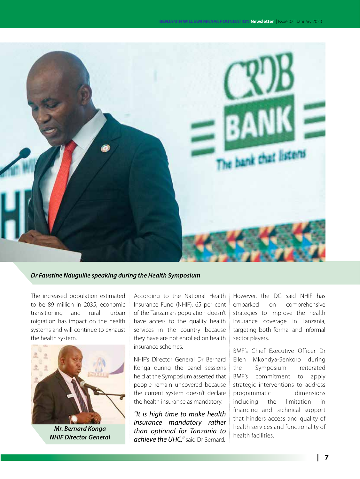

#### *Dr Faustine Ndugulile speaking during the Health Symposium*

The increased population estimated to be 89 million in 2035, economic transitioning and rural- urban migration has impact on the health systems and will continue to exhaust the health system.



*Mr. Bernard Konga NHIF Director General*

According to the National Health Insurance Fund (NHIF), 65 per cent of the Tanzanian population doesn't have access to the quality health services in the country because they have are not enrolled on health insurance schemes.

NHIF's Director General Dr Bernard Konga during the panel sessions held at the Symposium asserted that people remain uncovered because the current system doesn't declare the health insurance as mandatory.

*"It is high time to make health insurance mandatory rather than optional for Tanzania to achieve the UHC,"* said Dr Bernard. However, the DG said NHIF has embarked on comprehensive strategies to improve the health insurance coverage in Tanzania, targeting both formal and informal sector players.

BMF's Chief Executive Officer Dr Ellen Mkondya-Senkoro during the Symposium reiterated BMF's commitment to apply strategic interventions to address programmatic dimensions including the limitation in financing and technical support that hinders access and quality of health services and functionality of health facilities.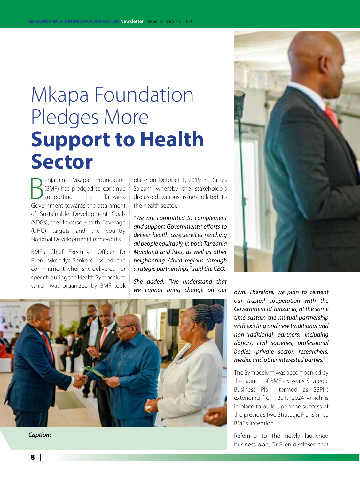### Mkapa Foundation Pledges More **Support to Health Sector**

**B** enjamin Mkapa Foundation<br>
(BMF) has pledged to continue<br>
Government towards the attainment enjamin Mkapa Foundation (BMF) has pledged to continue supporting the Tanzania of Sustainable Development Goals (SDGs), the Universe Health Coverage (UHC) targets and the country National Development Frameworks.

BMF's Chief Executive Officer Dr Ellen Mkondya-Senkoro issued the commitment when she delivered her speech during the Health Symposium which was organized by BMF took place on October 1, 2019 in Dar es Salaam whereby the stakeholders discussed various issues related to the health sector.

*"We are committed to complement and support Governments' efforts to deliver health care services reaching all people equitably, in both Tanzania Mainland and Isles, as well as other neighboring Africa regions through strategic partnerships," said the CEO.*

*She added: "We understand that* 





*Caption:*

we cannot bring change on our <sub>own</sub>. Therefore, we plan to cement *our trusted cooperation with the Government of Tanzania, at the same time sustain the mutual partnership with existing and new traditional and non-traditional partners, including donors, civil societies, professional bodies, private sector, researchers, media, and other interested parties."*

> The Symposium was accompanied by the launch of BMF's 5 years Strategic Business Plan (termed as SBPIII) extending from 2019-2024 which is in place to build upon the success of the previous two Strategic Plans since BMF's inception.

> Referring to the newly launched business plan, Dr Ellen disclosed that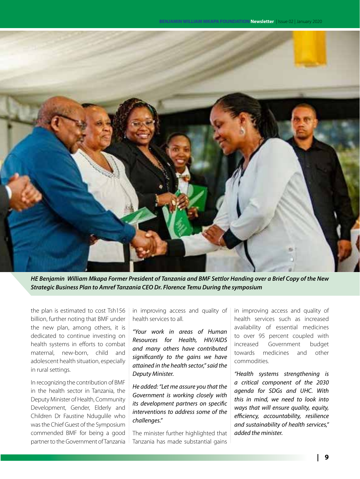

*HE Benjamin William Mkapa Former President of Tanzania and BMF Settlor Handing over a Brief Copy of the New Strategic Business Plan to Amref Tanzania CEO Dr. Florence Temu During the symposium*

the plan is estimated to cost Tsh156 billion, further noting that BMF under the new plan, among others, it is dedicated to continue investing on health systems in efforts to combat maternal, new-born, child and adolescent health situation, especially in rural settings.

In recognizing the contribution of BMF in the health sector in Tanzania, the Deputy Minister of Health, Community Development, Gender, Elderly and Children Dr Faustine Ndugulile who was the Chief Guest of the Symposium commended BMF for being a good partner to the Government of Tanzania

in improving access and quality of health services to all.

*"Your work in areas of Human Resources for Health, HIV/AIDS and many others have contributed significantly to the gains we have attained in the health sector," said the Deputy Minister.*

*He added: "Let me assure you that the Government is working closely with its development partners on specific interventions to address some of the challenges."*

The minister further highlighted that Tanzania has made substantial gains in improving access and quality of health services such as increased availability of essential medicines to over 95 percent coupled with increased Government budget towards medicines and other commodities.

*"Health systems strengthening is a critical component of the 2030 agenda for SDGs and UHC. With this in mind, we need to look into ways that will ensure quality, equity, efficiency, accountability, resilience and sustainability of health services," added the minister.*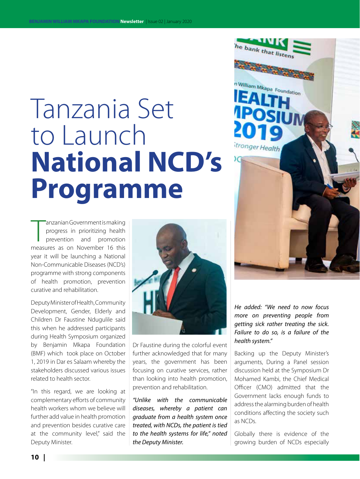# Tanzania Set to Launch **National NCD's Programme**

anzanian Government is making<br>progress in prioritizing health<br>prevention and promotion<br>measures as on November 16 this anzanian Government is making progress in prioritizing health prevention and promotion year it will be launching a National Non-Communicable Diseases (NCD's) programme with strong components of health promotion, prevention curative and rehabilitation.

Deputy Minister of Health, Community Development, Gender, Elderly and Children Dr Faustine Ndugulile said this when he addressed participants during Health Symposium organized by Benjamin Mkapa Foundation (BMF) which took place on October 1, 2019 in Dar es Salaam whereby the stakeholders discussed various issues related to health sector.

"In this regard, we are looking at complementary efforts of community health workers whom we believe will further add value in health promotion and prevention besides curative care at the community level," said the Deputy Minister.



Dr Faustine during the colorful event further acknowledged that for many years, the government has been focusing on curative services, rather than looking into health promotion, prevention and rehabilitation.

*"Unlike with the communicable diseases, whereby a patient can graduate from a health system once treated, with NCDs, the patient is tied to the health systems for life," noted the Deputy Minister.*

*He added: "We need to now focus more on preventing people from getting sick rather treating the sick. Failure to do so, is a failure of the health system."*

he bank that listen

**CALL OF** 

n William Mkapa Foundation

EA

itronger Health

Backing up the Deputy Minister's arguments, During a Panel session discussion held at the Symposium Dr Mohamed Kambi, the Chief Medical Officer (CMO) admitted that the Government lacks enough funds to address the alarming burden of health conditions affecting the society such as NCDs.

Globally there is evidence of the growing burden of NCDs especially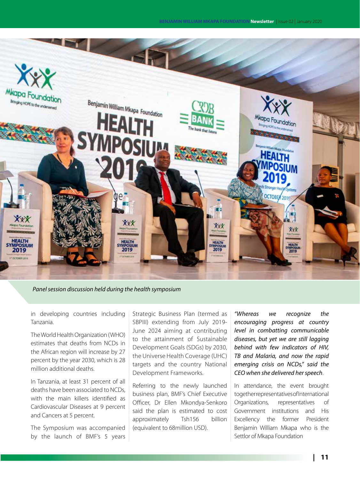

#### *Panel session discussion held during the health symposium*

in developing countries including Tanzania.

The World Health Organization (WHO) estimates that deaths from NCDs in the African region will increase by 27 percent by the year 2030, which is 28 million additional deaths.

In Tanzania, at least 31 percent of all deaths have been associated to NCDs, with the main killers identified as Cardiovascular Diseases at 9 percent and Cancers at 5 percent.

The Symposium was accompanied by the launch of BMF's 5 years Strategic Business Plan (termed as SBPIII) extending from July 2019- June 2024 aiming at contributing to the attainment of Sustainable Development Goals (SDGs) by 2030, the Universe Health Coverage (UHC) targets and the country National Development Frameworks.

Referring to the newly launched business plan, BMF's Chief Executive Officer, Dr Ellen Mkondya-Senkoro said the plan is estimated to cost approximately Tsh156 billion (equivalent to 68million USD).

*"Whereas we recognize the encouraging progress at country level in combatting communicable diseases, but yet we are still lagging behind with few indicators of HIV, TB and Malaria, and now the rapid emerging crisis on NCDs," said the CEO when she delivered her speech*.

In attendance, the event brought together representatives of International Organizations, representatives of Government institutions and His Excellency the former President Benjamin William Mkapa who is the Settlor of Mkapa Foundation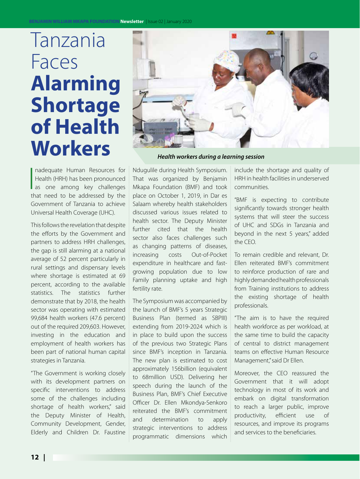## Tanzania Faces **Alarming Shortage of Health**



 $\begin{bmatrix} 1 \\ 1 \\ 1 \end{bmatrix}$ nadequate Human Resources for Health (HRH) has been pronounced as one among key challenges that need to be addressed by the Government of Tanzania to achieve Universal Health Coverage (UHC).

This follows the revelation that despite the efforts by the Government and partners to address HRH challenges, the gap is still alarming at a national average of 52 percent particularly in rural settings and dispensary levels where shortage is estimated at 69 percent, according to the available statistics. The statistics further demonstrate that by 2018, the health sector was operating with estimated 99,684 health workers (47.6 percent) out of the required 209,603. However, investing in the education and employment of health workers has been part of national human capital strategies in Tanzania.

"The Government is working closely with its development partners on specific interventions to address some of the challenges including shortage of health workers," said the Deputy Minister of Health, Community Development, Gender, Elderly and Children Dr. Faustine

Ndugulile during Health Symposium. That was organized by Benjamin Mkapa Foundation (BMF) and took place on October 1, 2019, in Dar es Salaam whereby health stakeholders discussed various issues related to health sector. The Deputy Minister further cited that the health sector also faces challenges such as changing patterns of diseases, increasing costs Out-of-Pocket expenditure in healthcare and fastgrowing population due to low Family planning uptake and high fertility rate.

The Symposium was accompanied by the launch of BMF's 5 years Strategic Business Plan (termed as SBPIII) extending from 2019-2024 which is in place to build upon the success of the previous two Strategic Plans since BMF's inception in Tanzania. The new plan is estimated to cost approximately 156billion (equivalent to 68million USD). Delivering her speech during the launch of the Business Plan, BMF's Chief Executive Officer Dr. Ellen Mkondya-Senkoro reiterated the BMF's commitment and determination to apply strategic interventions to address programmatic dimensions which

include the shortage and quality of HRH in health facilities in underserved communities.

"BMF is expecting to contribute significantly towards stronger health systems that will steer the success of UHC and SDGs in Tanzania and beyond in the next 5 years," added the CEO.

To remain credible and relevant, Dr. Ellen reiterated BMF's commitment to reinforce production of rare and highly demanded health professionals from Training institutions to address the existing shortage of health professionals.

"The aim is to have the required health workforce as per workload, at the same time to build the capacity of central to district management teams on effective Human Resource Management," said Dr Ellen.

Moreover, the CEO reassured the Government that it will adopt technology in most of its work and embark on digital transformation to reach a larger public, improve productivity, efficient use of resources, and improve its programs and services to the beneficiaries.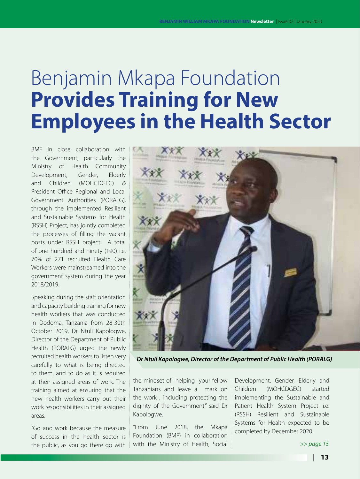### Benjamin Mkapa Foundation **Provides Training for New Employees in the Health Sector**

BMF in close collaboration with the Government, particularly the Ministry of Health Community Development, Gender, Elderly and Children (MOHCDGEC) & President Office Regional and Local Government Authorities (PORALG), through the implemented Resilient and Sustainable Systems for Health (RSSH) Project, has jointly completed the processes of filling the vacant posts under RSSH project. A total of one hundred and ninety (190) i.e. 70% of 271 recruited Health Care Workers were mainstreamed into the government system during the year 2018/2019.

Speaking during the staff orientation and capacity building training for new health workers that was conducted in Dodoma, Tanzania from 28-30th October 2019, Dr Ntuli Kapologwe, Director of the Department of Public Health (PORALG) urged the newly recruited health workers to listen very carefully to what is being directed to them, and to do as it is required at their assigned areas of work. The training aimed at ensuring that the new health workers carry out their work responsibilities in their assigned areas.

"Go and work because the measure of success in the health sector is the public, as you go there go with



*Dr Ntuli Kapologwe, Director of the Department of Public Health (PORALG)*

the mindset of helping your fellow Tanzanians and leave a mark on the work , including protecting the dignity of the Government," said Dr Kapologwe.

"From June 2018, the Mkapa Foundation (BMF) in collaboration with the Ministry of Health, Social Development, Gender, Elderly and Children (MOHCDGEC) started implementing the Sustainable and Patient Health System Project i.e. (RSSH) Resilient and Sustainable Systems for Health expected to be completed by December 2020.

*>> page 15*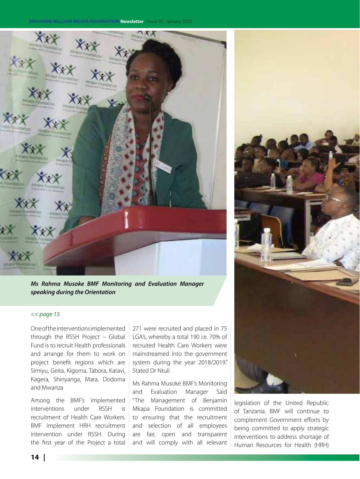#### **BENJAMIN WILLIAM MKAPA FOUNDATION Newsletter** | Issue 02 | January 2020



*Ms Rahma Musoke BMF Monitoring and Evaluation Manager speaking during the Orientation*

#### *<< page 15*

One of the interventions implemented through the RSSH Project – Global Fund is to recruit Health professionals and arrange for them to work on project benefit regions which are Simiyu, Geita, Kigoma, Tabora, Katavi, Kagera, Shinyanga, Mara, Dodoma and Mwanza

Among the BMF's implemented interventions under RSSH is recruitment of Health Care Workers. BMF implement HRH recruitment intervention under RSSH. During the first year of the Project a total

271 were recruited and placed in 75 LGA's, whereby a total 190 i.e. 70% of recruited Health Care Workers were mainstreamed into the government system during the year 2018/2019." Stated Dr Ntuli

Ms Rahma Musoke BMF's Monitoring and Evaluation Manager Said "The Management of Benjamin Mkapa Foundation is committed to ensuring that the recruitment and selection of all employees are fair, open and transparent and will comply with all relevant



legislation of the United Republic of Tanzania. BMF will continue to complement Government efforts by being committed to apply strategic interventions to address shortage of Human Resources for Health (HRH)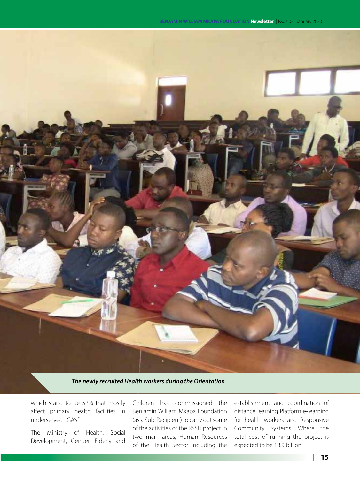

*The newly recruited Health workers during the Orientation*

which stand to be 52% that mostly affect primary health facilities in underserved LGA's."

The Ministry of Health, Social Development, Gender, Elderly and

Children has commissioned the Benjamin William Mkapa Foundation (as a Sub-Recipient) to carry out some of the activities of the RSSH project in two main areas, Human Resources of the Health Sector including the

establishment and coordination of distance learning Platform e-learning for health workers and Responsive Community Systems. Where the total cost of running the project is expected to be 18.9 billion.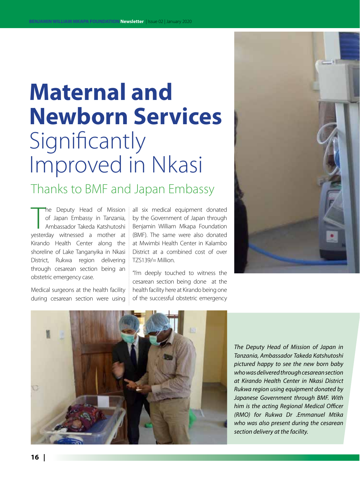## **Maternal and Newborn Services** Significantly Improved in Nkasi

Thanks to BMF and Japan Embassy

The Deputy Head of Mission<br>
of Japan Embassy in Tanzania,<br>
Ambassador Takeda Katshutoshi<br>
yesterday witnessed a mother at he Deputy Head of Mission of Japan Embassy in Tanzania, Ambassador Takeda Katshutoshi Kirando Health Center along the shoreline of Lake Tanganyika in Nkasi District, Rukwa region delivering through cesarean section being an obstetric emergency case.

Medical surgeons at the health facility during cesarean section were using

all six medical equipment donated by the Government of Japan through Benjamin William Mkapa Foundation (BMF). The same were also donated at Mwimbi Health Center in Kalambo District at a combined cost of over TZS139/= Million.

"I'm deeply touched to witness the cesarean section being done at the health facility here at Kirando being one of the successful obstetric emergency





*The Deputy Head of Mission of Japan in Tanzania, Ambassador Takeda Katshutoshi pictured happy to see the new born baby who was delivered through cesarean section at Kirando Health Center in Nkasi District Rukwa region using equipment donated by Japanese Government through BMF. With him is the acting Regional Medical Officer (RMO) for Rukwa Dr .Emmanuel Mtika who was also present during the cesarean section delivery at the facility.*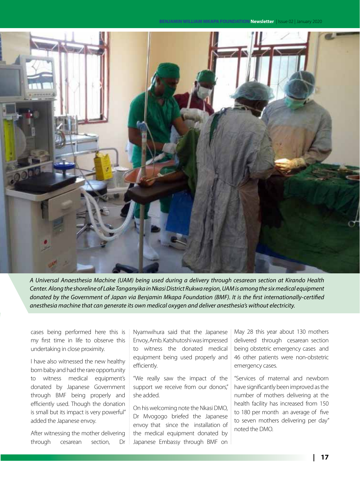**BENJAMIN WILLIAM MKAPA FOUNDATION Newsletter** | Issue 02 | January 2020



*A Universal Anaesthesia Machine (UAM) being used during a delivery through cesarean section at Kirando Health Center. Along the shoreline of Lake Tanganyika in Nkasi District Rukwa region, UAM is among the six medical equipment donated by the Government of Japan via Benjamin Mkapa Foundation (BMF). It is the first internationally-certified anesthesia machine that can generate its own medical oxygen and deliver anesthesia's without electricity.*

cases being performed here this is my first time in life to observe this undertaking in close proximity.

I have also witnessed the new healthy born baby and had the rare opportunity to witness medical equipment's donated by Japanese Government through BMF being properly and efficiently used. Though the donation is small but its impact is very powerful" added the Japanese envoy.

After witnessing the mother delivering through cesarean section, Dr Nyamwihura said that the Japanese Envoy, Amb. Katshutoshi was impressed to witness the donated medical equipment being used properly and efficiently.

"We really saw the impact of the support we receive from our donors," she added.

On his welcoming note the Nkasi DMO, Dr Mvogogo briefed the Japanese envoy that since the installation of the medical equipment donated by Japanese Embassy through BMF on May 28 this year about 130 mothers delivered through cesarean section being obstetric emergency cases and 46 other patients were non-obstetric emergency cases.

"Services of maternal and newborn have significantly been improved as the number of mothers delivering at the health facility has increased from 150 to 180 per month an average of five to seven mothers delivering per day" noted the DMO.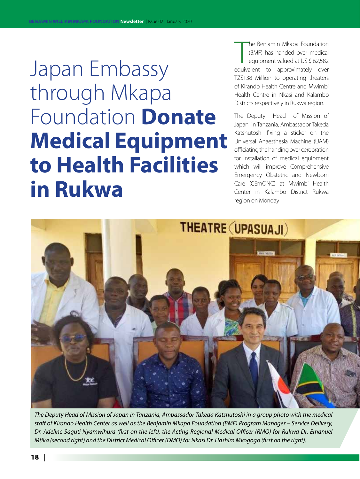Japan Embassy through Mkapa Foundation **Donate Medical Equipment to Health Facilities in Rukwa**

The Benjamin Mkapa Foundation<br>(BMF) has handed over medical<br>equipment valued at US \$ 62,582<br>equivalent to approximately over he Benjamin Mkapa Foundation (BMF) has handed over medical equipment valued at US \$ 62,582 TZS138 Million to operating theaters of Kirando Health Centre and Mwimbi Health Centre in Nkasi and Kalambo Districts respectively in Rukwa region.

The Deputy Head of Mission of Japan in Tanzania, Ambassador Takeda Katshutoshi fixing a sticker on the Universal Anaesthesia Machine (UAM) officiating the handing over cerebration for installation of medical equipment which will improve Comprehensive Emergency Obstetric and Newborn Care (CEmONC) at Mwimbi Health Center in Kalambo District Rukwa region on Monday



*The Deputy Head of Mission of Japan in Tanzania, Ambassador Takeda Katshutoshi in a group photo with the medical staff of Kirando Health Center as well as the Benjamin Mkapa Foundation (BMF) Program Manager – Service Delivery, Dr. Adeline Saguti Nyamwihura (first on the left), the Acting Regional Medical Officer (RMO) for Rukwa Dr. Emanuel Mtika (second right) and the District Medical Officer (DMO) for NkasI Dr. Hashim Mvogogo (first on the right).*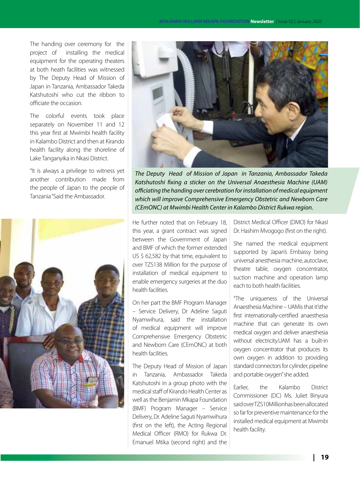The handing over ceremony for the project of installing the medical equipment for the operating theaters at both heath facilities was witnessed by The Deputy Head of Mission of Japan in Tanzania, Ambassador Takeda Katshutoshi who cut the ribbon to officiate the occasion.

The colorful events took place separately on November 11 and 12 this year first at Mwimbi health facility in Kalambo District and then at Kirando health facility along the shoreline of Lake Tanganyika in Nkasi District.

"It is always a privilege to witness yet another contribution made from the people of Japan to the people of Tanzania "Said the Ambassador.





*The Deputy Head of Mission of Japan in Tanzania, Ambassador Takeda Katshutoshi fixing a sticker on the Universal Anaesthesia Machine (UAM) officiating the handing over cerebration for installation of medical equipment which will improve Comprehensive Emergency Obstetric and Newborn Care (CEmONC) at Mwimbi Health Center in Kalambo District Rukwa region.*

He further noted that on February 18, I this year, a grant contract was signed between the Government of Japan and BMF of which the former extended US \$ 62,582 by that time, equivalent to over TZS138 Million for the purpose of installation of medical equipment to enable emergency surgeries at the duo health facilities.

On her part the BMF Program Manager – Service Delivery, Dr Adeline Saguti Nyamwihura, said the installation of medical equipment will improve Comprehensive Emergency Obstetric and Newborn Care (CEmONC) at both health facilities.

The Deputy Head of Mission of Japan in Tanzania, Ambassador Takeda Katshutoshi in a group photo with the medical staff of Kirando Health Center as well as the Benjamin Mkapa Foundation (BMF) Program Manager – Service Delivery, Dr. Adeline Saguti Nyamwihura (first on the left), the Acting Regional Medical Officer (RMO) for Rukwa Dr. Emanuel Mtika (second right) and the

District Medical Officer (DMO) for NkasI Dr. Hashim Mvogogo (first on the right).

She named the medical equipment supported by Japan's Embassy being universal anesthesia machine, autoclave, theatre table, oxygen concentrator, suction machine and operation lamp each to both health facilities.

"The uniqueness of the Universal Anaesthesia Machine – UAMis that it'sthe first internationally-certified anaesthesia machine that can generate its own medical oxygen and deliver anaesthesia without electricity.UAM has a built-in oxygen concentrator that produces its own oxygen in addition to providing standard connectors for cylinder, pipeline and portable oxygen" she added.

Earlier, the Kalambo District Commissioner (DC) Ms. Juliet Binyura said over TZS10Millionhas been allocated so far for preventive maintenance for the installed medical equipment at Mwimbi health facility.